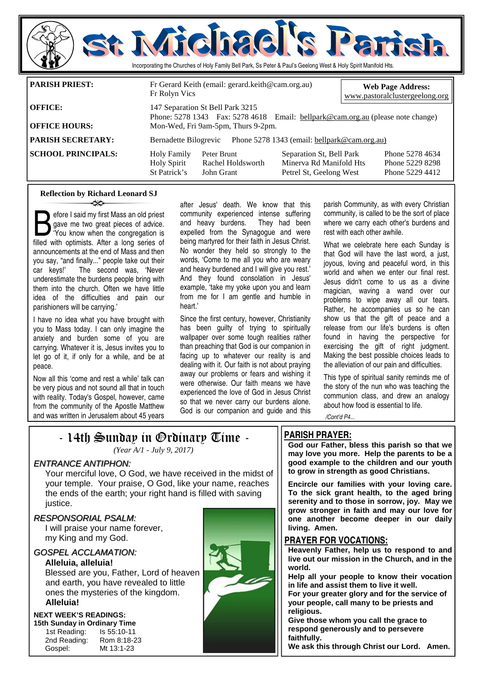

#### **Reflection by Richard Leonard SJ**  ન્≫

Sefore I said my first Mass an old priest<br>gave me two great pieces of advice.<br>"You know when the congregation is<br>filled with ontimists. After a long series of gave me two great pieces of advice. filled with optimists. After a long series of announcements at the end of Mass and then you say, "and finally..." people take out their car keys!' The second was, 'Never underestimate the burdens people bring with them into the church. Often we have little idea of the difficulties and pain our parishioners will be carrying.'

I have no idea what you have brought with you to Mass today. I can only imagine the anxiety and burden some of you are carrying. Whatever it is, Jesus invites you to let go of it, if only for a while, and be at peace.

Now all this 'come and rest a while' talk can be very pious and not sound all that in touch with reality. Today's Gospel, however, came from the community of the Apostle Matthew and was written in Jerusalem about 45 years after Jesus' death. We know that this community experienced intense suffering and heavy burdens. They had been expelled from the Synagogue and were being martyred for their faith in Jesus Christ. No wonder they held so strongly to the words, 'Come to me all you who are weary and heavy burdened and I will give you rest.' And they found consolation in Jesus' example, 'take my yoke upon you and learn from me for I am gentle and humble in heart.'

Since the first century, however, Christianity has been guilty of trying to spiritually wallpaper over some tough realities rather than preaching that God is our companion in facing up to whatever our reality is and dealing with it. Our faith is not about praying away our problems or fears and wishing it were otherwise. Our faith means we have experienced the love of God in Jesus Christ so that we never carry our burdens alone. God is our companion and guide and this

parish Community, as with every Christian community, is called to be the sort of place where we carry each other's burdens and rest with each other awhile.

What we celebrate here each Sunday is that God will have the last word, a just, joyous, loving and peaceful word, in this world and when we enter our final rest. Jesus didn't come to us as a divine magician, waving a wand over our problems to wipe away all our tears. Rather, he accompanies us so he can show us that the gift of peace and a release from our life's burdens is often found in having the perspective for exercising the gift of right judgment. Making the best possible choices leads to the alleviation of our pain and difficulties.

This type of spiritual sanity reminds me of the story of the nun who was teaching the communion class, and drew an analogy about how food is essential to life.

*/Cont'd P4...* 

## - 14th Sunday in Ordinary Time -

*(Year A/1 - July 9, 2017)* 

#### ENTRANCE ANTIPHON:

 Your merciful love, O God, we have received in the midst of your temple. Your praise, O God, like your name, reaches the ends of the earth; your right hand is filled with saving justice.

#### RESPONSORIAL PSALM:

 I will praise your name forever, my King and my God.

#### GOSPEL ACCLAMATION:

**Alleluia, alleluia!** 

Blessed are you, Father, Lord of heaven and earth, you have revealed to little ones the mysteries of the kingdom. **Alleluia!** 

#### **NEXT WEEK'S READINGS:**

**15th Sunday in Ordinary Time**  1st Reading: Is 55:10-11 2nd Reading: Rom 8:18-23 Gospel: Mt 13:1-23



### **PARISH PRAYER:**

Petrel St, Geelong West

**God our Father, bless this parish so that we may love you more. Help the parents to be a good example to the children and our youth to grow in strength as good Christians.** 

**Encircle our families with your loving care. To the sick grant health, to the aged bring serenity and to those in sorrow, joy. May we grow stronger in faith and may our love for one another become deeper in our daily living. Amen.** 

#### **PRAYER FOR VOCATIONS:**

**Heavenly Father, help us to respond to and live out our mission in the Church, and in the world.** 

**Help all your people to know their vocation in life and assist them to live it well.** 

**For your greater glory and for the service of your people, call many to be priests and religious.** 

**Give those whom you call the grace to respond generously and to persevere faithfully.** 

**We ask this through Christ our Lord. Amen.**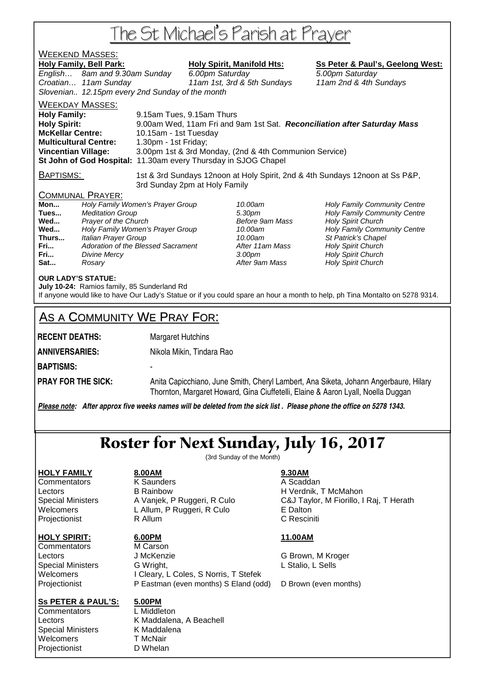# The St Michael's Parish at Prayer

## <u>WEEKEND MASSES:</u>

Holy Family, Bell Park: Holy Spirit, Manifold Hts: Ss Peter & Paul's, Geelong West:

English… 8am and 9.30am Sunday 6.00pm Saturday 5.00pm Saturday Croatian… 11am Sunday 11am 1st, 3rd & 5th Sundays 11am 2nd & 4th Sundays Slovenian.. 12.15pm every 2nd Sunday of the month

WEEKDAY MASSES:

**Holy Family:** 9.15am Tues, 9.15am Thurs **Holy Spirit:** 9.00am Wed, 11am Fri and 9am 1st Sat. **Reconciliation after Saturday Mass McKellar Centre:** 10.15am - 1st Tuesday **Multicultural Centre:** 1.30pm - 1st Friday; **Vincentian Village:** 3.00pm 1st & 3rd Monday, (2nd & 4th Communion Service) **St John of God Hospital:** 11.30am every Thursday in SJOG Chapel

BAPTISMS: 1st & 3rd Sundays 12noon at Holy Spirit, 2nd & 4th Sundays 12noon at Ss P&P, 3rd Sunday 2pm at Holy Family

### COMMUNAL PRAYER:

| Holy Family Women's Prayer Group   |
|------------------------------------|
| <b>Meditation Group</b>            |
| Prayer of the Church               |
| Holy Family Women's Prayer Group   |
| Italian Prayer Group               |
| Adoration of the Blessed Sacrament |
| <b>Divine Mercy</b>                |
| Rosarv                             |
|                                    |

**After 11am Mass Holy Spirit Church** After 9am Mass **Holy Spirit Church** 

10.00am **Holy Family Community Centre Tues 3.30pm Holy Family Community Centre Before 9am Mass Holy Spirit Church Before 9am Mass Holy Spirit Church** 10.00am **Holy Family Community Centre** 10.00am St Patrick's Chapel **Franch 3.00pm** Holy Spirit Church

### **OUR LADY'S STATUE:**

**July 10-24:** Ramios family, 85 Sunderland Rd If anyone would like to have Our Lady's Statue or if you could spare an hour a month to help, ph Tina Montalto on 5278 9314.

## AS A COMMUNITY WE PRAY FOR:

**RECENT DEATHS:** Margaret Hutchins

**ANNIVERSARIES:** Nikola Mikin, Tindara Rao

**BAPTISMS:** -

**PRAY FOR THE SICK:** Anita Capicchiano, June Smith, Cheryl Lambert, Ana Siketa, Johann Angerbaure, Hilary Thornton, Margaret Howard, Gina Ciuffetelli, Elaine & Aaron Lyall, Noella Duggan

*Please note: After approx five weeks names will be deleted from the sick list . Please phone the office on 5278 1343.*

# Roster for Next Sunday, July 16, 2017

(3rd Sunday of the Month)

### **HOLY FAMILY 8.00AM 9.30AM**

### **HOLY SPIRIT: 6.00PM 11.00AM**

Commentators M Carson

Commentators **K Saunders** A Scaddan Lectors B Rainbow H Verdnik, T McMahon Welcomers L Allum, P Ruggeri, R Culo E Dalton Projectionist **R** Allum **C Resciniti** 

Lectors **J McKenzie G Brown, M Kroger** Special Ministers G Wright, The Contract Contract C Wright, C Sells Welcomers I Cleary, L Coles, S Norris, T Stefek Projectionist P Eastman (even months) S Eland (odd) D Brown (even months)

### **Ss PETER & PAUL'S: 5.00PM**

Commentators L Middleton Special Ministers K Maddalena Welcomers T McNair Projectionist D Whelan

Lectors **K Maddalena, A Beachell** 

Special Ministers A Vanjek, P Ruggeri, R Culo C&J Taylor, M Fiorillo, I Raj, T Herath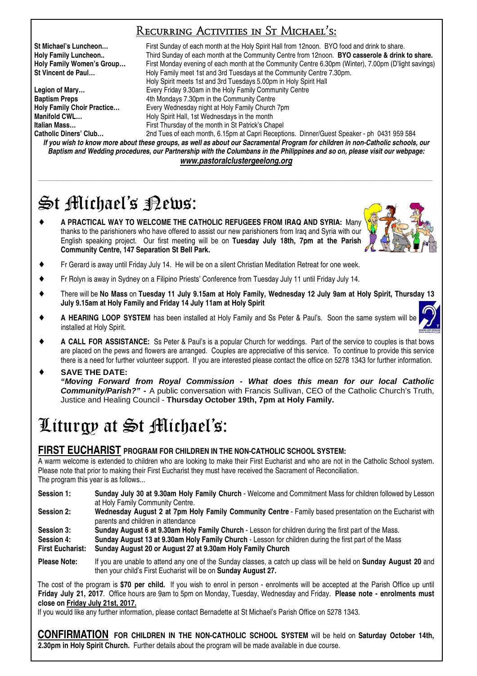## Recurring Activities in St Michael's:

**St Michael's Luncheon…** First Sunday of each month at the Holy Spirit Hall from 12noon. BYO food and drink to share. **Holy Family Luncheon..** Third Sunday of each month at the Community Centre from 12noon. **BYO casserole & drink to share. Holy Family Women's Group…** First Monday evening of each month at the Community Centre 6.30pm (Winter), 7.00pm (D'light savings) **St Vincent de Paul…** Holy Family meet 1st and 3rd Tuesdays at the Community Centre 7.30pm. Holy Spirit meets 1st and 3rd Tuesdays 5.00pm in Holy Spirit Hall **Legion of Mary…** Every Friday 9.30am in the Holy Family Community Centre **Baptism Preps** <br> **Holy Family Choir Practice... Ath Mondays 7.30pm in the Community Centre Holy Family Church Holy Family Choir Practice…** Every Wednesday night at Holy Family Church 7pm **Manifold CWL...**<br> **Holy Spirit Hall, 1st Wednesdays in the month in St Patrick's Channel Computer Channel First Thursday of the month in St Patrick's Cha Italian Mass…** First Thursday of the month in St Patrick's Chapel 2nd Tues of each month, 6.15pm at Capri Receptions. Dinner/Guest Speaker - ph 0431 959 584

*If you wish to know more about these groups, as well as about our Sacramental Program for children in non-Catholic schools, our Baptism and Wedding procedures, our Partnership with the Columbans in the Philippines and so on, please visit our webpage: www.pastoralclustergeelong.org*

\_\_\_\_\_\_\_\_\_\_\_\_\_\_\_\_\_\_\_\_\_\_\_\_\_\_\_\_\_\_\_\_\_\_\_\_\_\_\_\_\_\_\_\_\_\_\_\_\_\_\_\_\_\_\_\_\_\_\_\_\_\_\_\_\_\_\_\_\_\_\_\_\_\_\_\_\_\_\_\_\_\_\_\_\_\_\_\_\_\_\_\_\_\_\_\_\_\_\_\_\_\_\_\_\_\_\_\_\_\_\_\_\_\_\_\_\_\_\_\_\_\_\_\_\_\_\_\_\_\_\_\_\_\_\_\_\_\_\_\_\_\_\_\_\_\_\_\_\_\_\_\_\_\_\_\_\_\_\_\_\_\_\_\_\_\_\_\_\_\_\_\_\_\_\_\_\_\_\_\_\_\_\_\_\_\_\_\_\_\_\_\_\_\_\_\_\_

# St Michael's Rews:

♦ **A PRACTICAL WAY TO WELCOME THE CATHOLIC REFUGEES FROM IRAQ AND SYRIA:** Many thanks to the parishioners who have offered to assist our new parishioners from Iraq and Syria with our English speaking project. Our first meeting will be on **Tuesday July 18th, 7pm at the Parish Community Centre, 147 Separation St Bell Park.**



- Fr Gerard is away until Friday July 14. He will be on a silent Christian Meditation Retreat for one week.
- ♦ Fr Rolyn is away in Sydney on a Filipino Priests' Conference from Tuesday July 11 until Friday July 14.
- ♦ There will be **No Mass** on **Tuesday 11 July 9.15am at Holy Family, Wednesday 12 July 9am at Holy Spirit, Thursday 13 July 9.15am at Holy Family and Friday 14 July 11am at Holy Spirit**
- A HEARING LOOP SYSTEM has been installed at Holy Family and Ss Peter & Paul's. Soon the same system will be installed at Holy Spirit.
- A CALL FOR ASSISTANCE: Ss Peter & Paul's is a popular Church for weddings. Part of the service to couples is that bows are placed on the pews and flowers are arranged. Couples are appreciative of this service. To continue to provide this service there is a need for further volunteer support. If you are interested please contact the office on 5278 1343 for further information.

### SAVE THE DATE: **"Moving Forward from Royal Commission - What does this mean for our local Catholic Community/Parish?" -** A public conversation with Francis Sullivan, CEO of the Catholic Church's Truth, Justice and Healing Council - **Thursday October 19th, 7pm at Holy Family.**

# Liturgy at St Michael's:

## **FIRST EUCHARIST PROGRAM FOR CHILDREN IN THE NON-CATHOLIC SCHOOL SYSTEM:**

A warm welcome is extended to children who are looking to make their First Eucharist and who are not in the Catholic School system. Please note that prior to making their First Eucharist they must have received the Sacrament of Reconciliation. The program this year is as follows...

**Session 1: Sunday July 30 at 9.30am Holy Family Church** - Welcome and Commitment Mass for children followed by Lesson at Holy Family Community Centre.

**Session 2: Wednesday August 2 at 7pm Holy Family Community Centre** - Family based presentation on the Eucharist with parents and children in attendance

**Session 3: Sunday August 6 at 9.30am Holy Family Church - Lesson for children during the first part of the Mass.<br><b>Session 4: Sunday August 13 at 9.30am Holy Family Church - Lesson for children during the first part of the** 

**Session 4: Sunday August 13 at 9.30am Holy Family Church** - Lesson for children during the first part of the Mass **First Eucharist: Sunday August 20 or August 27 at 9.30am Holy Family Church** 

**Please Note:** If you are unable to attend any one of the Sunday classes, a catch up class will be held on **Sunday August 20** and then your child's First Eucharist will be on **Sunday August 27.** 

The cost of the program is **\$70 per child.** If you wish to enrol in person - enrolments will be accepted at the Parish Office up until **Friday July 21, 2017**. Office hours are 9am to 5pm on Monday, Tuesday, Wednesday and Friday. **Please note - enrolments must close on Friday July 21st, 2017.**

If you would like any further information, please contact Bernadette at St Michael's Parish Office on 5278 1343.

**CONFIRMATION FOR CHILDREN IN THE NON-CATHOLIC SCHOOL SYSTEM** will be held on **Saturday October 14th, 2.30pm in Holy Spirit Church.** Further details about the program will be made available in due course.